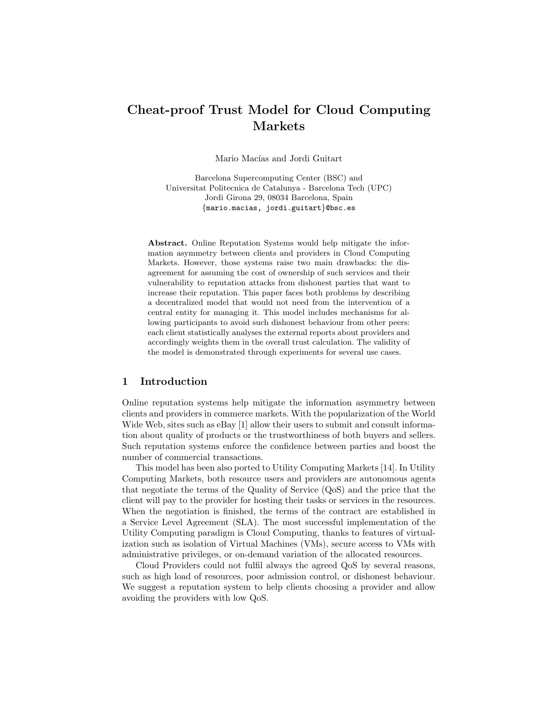# Cheat-proof Trust Model for Cloud Computing Markets

Mario Macías and Jordi Guitart

Barcelona Supercomputing Center (BSC) and Universitat Politecnica de Catalunya - Barcelona Tech (UPC) Jordi Girona 29, 08034 Barcelona, Spain {mario.macias, jordi.guitart}@bsc.es

Abstract. Online Reputation Systems would help mitigate the information asymmetry between clients and providers in Cloud Computing Markets. However, those systems raise two main drawbacks: the disagreement for assuming the cost of ownership of such services and their vulnerability to reputation attacks from dishonest parties that want to increase their reputation. This paper faces both problems by describing a decentralized model that would not need from the intervention of a central entity for managing it. This model includes mechanisms for allowing participants to avoid such dishonest behaviour from other peers: each client statistically analyses the external reports about providers and accordingly weights them in the overall trust calculation. The validity of the model is demonstrated through experiments for several use cases.

### 1 Introduction

Online reputation systems help mitigate the information asymmetry between clients and providers in commerce markets. With the popularization of the World Wide Web, sites such as eBay [1] allow their users to submit and consult information about quality of products or the trustworthiness of both buyers and sellers. Such reputation systems enforce the confidence between parties and boost the number of commercial transactions.

This model has been also ported to Utility Computing Markets [14]. In Utility Computing Markets, both resource users and providers are autonomous agents that negotiate the terms of the Quality of Service (QoS) and the price that the client will pay to the provider for hosting their tasks or services in the resources. When the negotiation is finished, the terms of the contract are established in a Service Level Agreement (SLA). The most successful implementation of the Utility Computing paradigm is Cloud Computing, thanks to features of virtualization such as isolation of Virtual Machines (VMs), secure access to VMs with administrative privileges, or on-demand variation of the allocated resources.

Cloud Providers could not fulfil always the agreed QoS by several reasons, such as high load of resources, poor admission control, or dishonest behaviour. We suggest a reputation system to help clients choosing a provider and allow avoiding the providers with low QoS.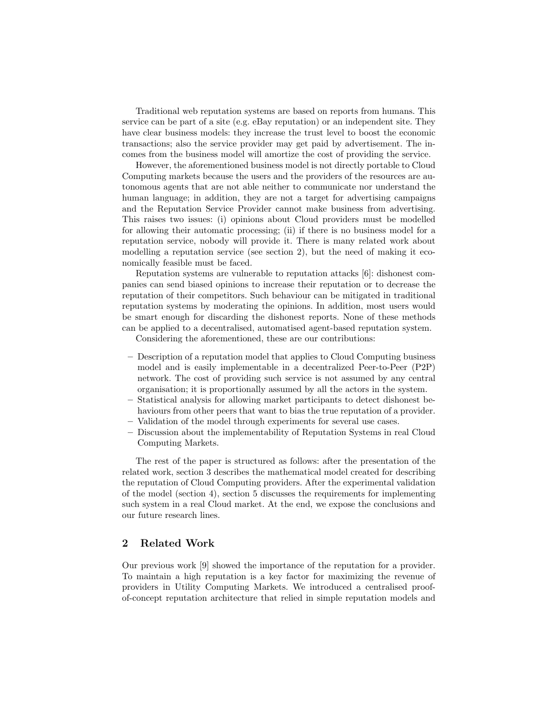Traditional web reputation systems are based on reports from humans. This service can be part of a site (e.g. eBay reputation) or an independent site. They have clear business models: they increase the trust level to boost the economic transactions; also the service provider may get paid by advertisement. The incomes from the business model will amortize the cost of providing the service.

However, the aforementioned business model is not directly portable to Cloud Computing markets because the users and the providers of the resources are autonomous agents that are not able neither to communicate nor understand the human language; in addition, they are not a target for advertising campaigns and the Reputation Service Provider cannot make business from advertising. This raises two issues: (i) opinions about Cloud providers must be modelled for allowing their automatic processing; (ii) if there is no business model for a reputation service, nobody will provide it. There is many related work about modelling a reputation service (see section 2), but the need of making it economically feasible must be faced.

Reputation systems are vulnerable to reputation attacks [6]: dishonest companies can send biased opinions to increase their reputation or to decrease the reputation of their competitors. Such behaviour can be mitigated in traditional reputation systems by moderating the opinions. In addition, most users would be smart enough for discarding the dishonest reports. None of these methods can be applied to a decentralised, automatised agent-based reputation system.

Considering the aforementioned, these are our contributions:

- Description of a reputation model that applies to Cloud Computing business model and is easily implementable in a decentralized Peer-to-Peer (P2P) network. The cost of providing such service is not assumed by any central organisation; it is proportionally assumed by all the actors in the system.
- Statistical analysis for allowing market participants to detect dishonest behaviours from other peers that want to bias the true reputation of a provider. – Validation of the model through experiments for several use cases.
- Discussion about the implementability of Reputation Systems in real Cloud
- Computing Markets.

The rest of the paper is structured as follows: after the presentation of the related work, section 3 describes the mathematical model created for describing the reputation of Cloud Computing providers. After the experimental validation of the model (section 4), section 5 discusses the requirements for implementing such system in a real Cloud market. At the end, we expose the conclusions and our future research lines.

# 2 Related Work

Our previous work [9] showed the importance of the reputation for a provider. To maintain a high reputation is a key factor for maximizing the revenue of providers in Utility Computing Markets. We introduced a centralised proofof-concept reputation architecture that relied in simple reputation models and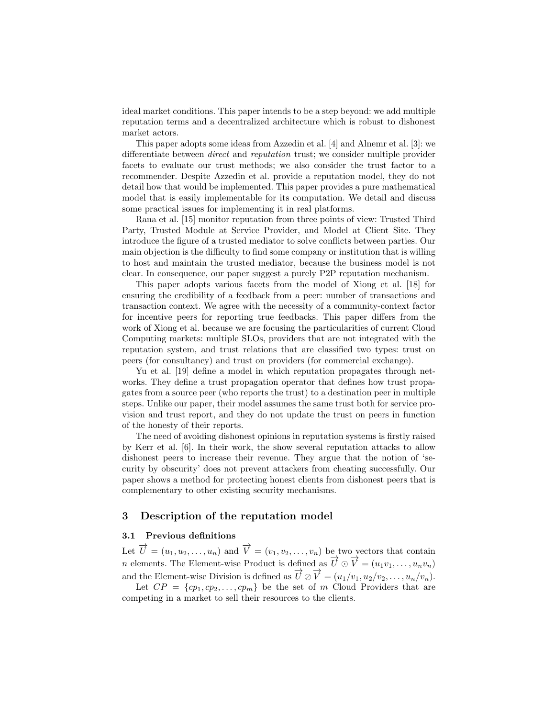ideal market conditions. This paper intends to be a step beyond: we add multiple reputation terms and a decentralized architecture which is robust to dishonest market actors.

This paper adopts some ideas from Azzedin et al. [4] and Alnemr et al. [3]: we differentiate between direct and reputation trust; we consider multiple provider facets to evaluate our trust methods; we also consider the trust factor to a recommender. Despite Azzedin et al. provide a reputation model, they do not detail how that would be implemented. This paper provides a pure mathematical model that is easily implementable for its computation. We detail and discuss some practical issues for implementing it in real platforms.

Rana et al. [15] monitor reputation from three points of view: Trusted Third Party, Trusted Module at Service Provider, and Model at Client Site. They introduce the figure of a trusted mediator to solve conflicts between parties. Our main objection is the difficulty to find some company or institution that is willing to host and maintain the trusted mediator, because the business model is not clear. In consequence, our paper suggest a purely P2P reputation mechanism.

This paper adopts various facets from the model of Xiong et al. [18] for ensuring the credibility of a feedback from a peer: number of transactions and transaction context. We agree with the necessity of a community-context factor for incentive peers for reporting true feedbacks. This paper differs from the work of Xiong et al. because we are focusing the particularities of current Cloud Computing markets: multiple SLOs, providers that are not integrated with the reputation system, and trust relations that are classified two types: trust on peers (for consultancy) and trust on providers (for commercial exchange).

Yu et al. [19] define a model in which reputation propagates through networks. They define a trust propagation operator that defines how trust propagates from a source peer (who reports the trust) to a destination peer in multiple steps. Unlike our paper, their model assumes the same trust both for service provision and trust report, and they do not update the trust on peers in function of the honesty of their reports.

The need of avoiding dishonest opinions in reputation systems is firstly raised by Kerr et al. [6]. In their work, the show several reputation attacks to allow dishonest peers to increase their revenue. They argue that the notion of 'security by obscurity' does not prevent attackers from cheating successfully. Our paper shows a method for protecting honest clients from dishonest peers that is complementary to other existing security mechanisms.

### 3 Description of the reputation model

# 3.1 Previous definitions

Let  $\overrightarrow{U} = (u_1, u_2, \dots, u_n)$  and  $\overrightarrow{V} = (v_1, v_2, \dots, v_n)$  be two vectors that contain  $n$  elements. The Element-wise Product is defined as  $\vec{U} \odot \vec{V} = (u_1v_1, \dots, u_nv_n)$ and the Element-wise Division is defined as  $\overrightarrow{U} \oslash \overrightarrow{V} = (u_1/v_1, u_2/v_2, \dots, u_n/v_n)$ .

Let  $CP = \{cp_1, cp_2, \ldots, cp_m\}$  be the set of m Cloud Providers that are competing in a market to sell their resources to the clients.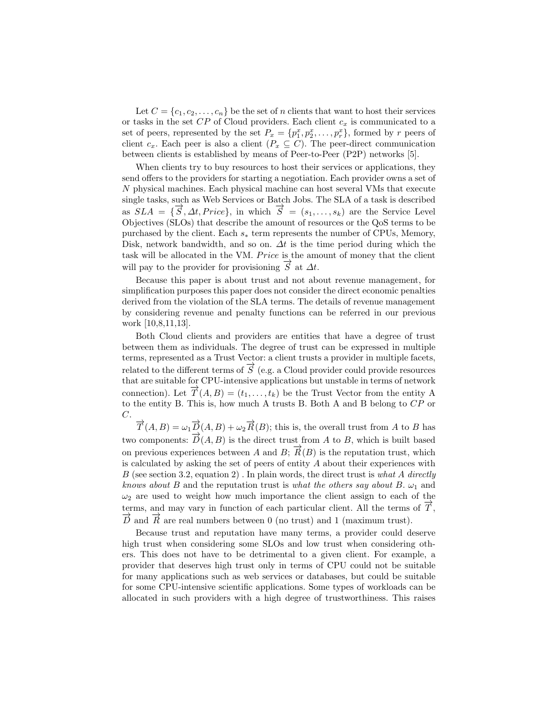Let  $C = \{c_1, c_2, \ldots, c_n\}$  be the set of n clients that want to host their services or tasks in the set  $CP$  of Cloud providers. Each client  $c_x$  is communicated to a set of peers, represented by the set  $P_x = \{p_1^x, p_2^x, \ldots, p_r^x\}$ , formed by r peers of client  $c_x$ . Each peer is also a client  $(P_x \subseteq C)$ . The peer-direct communication between clients is established by means of Peer-to-Peer (P2P) networks [5].

When clients try to buy resources to host their services or applications, they send offers to the providers for starting a negotiation. Each provider owns a set of N physical machines. Each physical machine can host several VMs that execute single tasks, such as Web Services or Batch Jobs. The SLA of a task is described as  $SLA = \{\vec{S}, \Delta t, Price\}$ , in which  $\vec{S} = (s_1, \ldots, s_k)$  are the Service Level Objectives (SLOs) that describe the amount of resources or the QoS terms to be purchased by the client. Each  $s_*$  term represents the number of CPUs, Memory, Disk, network bandwidth, and so on.  $\Delta t$  is the time period during which the task will be allocated in the VM. Price is the amount of money that the client will pay to the provider for provisioning  $\overline{S}$  at  $\Delta t$ .

Because this paper is about trust and not about revenue management, for simplification purposes this paper does not consider the direct economic penalties derived from the violation of the SLA terms. The details of revenue management by considering revenue and penalty functions can be referred in our previous work [10,8,11,13].

Both Cloud clients and providers are entities that have a degree of trust between them as individuals. The degree of trust can be expressed in multiple terms, represented as a Trust Vector: a client trusts a provider in multiple facets, related to the different terms of  $\overrightarrow{S}$  (e.g. a Cloud provider could provide resources that are suitable for CPU-intensive applications but unstable in terms of network connection). Let  $\overline{T}(A, B) = (t_1, \ldots, t_k)$  be the Trust Vector from the entity A to the entity B. This is, how much A trusts B. Both A and B belong to CP or C.

 $\overrightarrow{T}(A,B) = \omega_1 \overrightarrow{D}(A,B) + \omega_2 \overrightarrow{R}(B)$ ; this is, the overall trust from A to B has two components:  $\overrightarrow{D}(A, B)$  is the direct trust from A to B, which is built based on previous experiences between A and  $B$ ;  $\overrightarrow{R}(B)$  is the reputation trust, which is calculated by asking the set of peers of entity A about their experiences with  $B$  (see section 3.2, equation 2). In plain words, the direct trust is what A directly knows about B and the reputation trust is what the others say about B.  $\omega_1$  and  $\omega_2$  are used to weight how much importance the client assign to each of the terms, and may vary in function of each particular client. All the terms of  $\overline{T}$ ,  $\overrightarrow{D}$  and  $\overrightarrow{R}$  are real numbers between 0 (no trust) and 1 (maximum trust).

Because trust and reputation have many terms, a provider could deserve high trust when considering some SLOs and low trust when considering others. This does not have to be detrimental to a given client. For example, a provider that deserves high trust only in terms of CPU could not be suitable for many applications such as web services or databases, but could be suitable for some CPU-intensive scientific applications. Some types of workloads can be allocated in such providers with a high degree of trustworthiness. This raises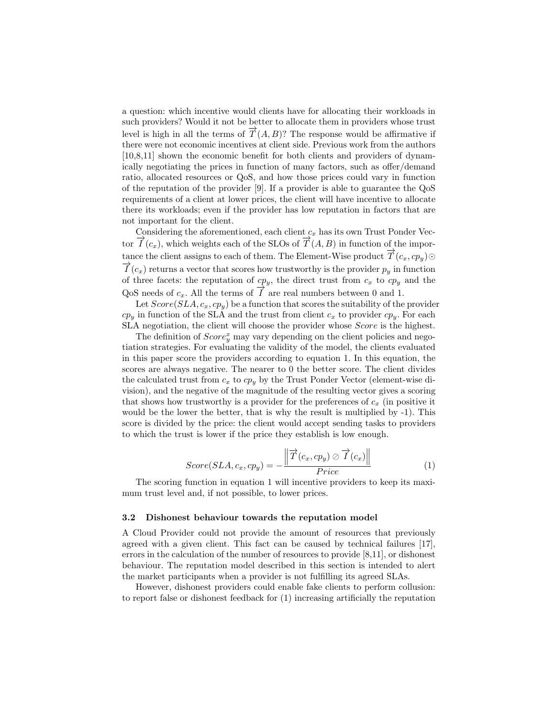a question: which incentive would clients have for allocating their workloads in such providers? Would it not be better to allocate them in providers whose trust level is high in all the terms of  $\overline{T}(A, B)$ ? The response would be affirmative if there were not economic incentives at client side. Previous work from the authors [10,8,11] shown the economic benefit for both clients and providers of dynamically negotiating the prices in function of many factors, such as offer/demand ratio, allocated resources or QoS, and how those prices could vary in function of the reputation of the provider [9]. If a provider is able to guarantee the QoS requirements of a client at lower prices, the client will have incentive to allocate there its workloads; even if the provider has low reputation in factors that are not important for the client.

Considering the aforementioned, each client  $c_x$  has its own Trust Ponder Vector  $\overrightarrow{I}(c_x)$ , which weights each of the SLOs of  $\overrightarrow{I}(A, B)$  in function of the importance the client assigns to each of them. The Element-Wise product  $\overrightarrow{T}(c_x, cp_y) \odot$  $\overrightarrow{I}(c_x)$  returns a vector that scores how trustworthy is the provider  $p_y$  in function of three facets: the reputation of  $cp_y$ , the direct trust from  $c_x$  to  $cp_y$  and the QoS needs of  $c_x$ . All the terms of  $\overrightarrow{I}$  are real numbers between 0 and 1.

Let  $Score(SLA, c_x, cp_y)$  be a function that scores the suitability of the provider  $cp<sub>y</sub>$  in function of the SLA and the trust from client  $c<sub>x</sub>$  to provider  $cp<sub>y</sub>$ . For each SLA negotiation, the client will choose the provider whose *Score* is the highest.

The definition of  $Score_y^x$  may vary depending on the client policies and negotiation strategies. For evaluating the validity of the model, the clients evaluated in this paper score the providers according to equation 1. In this equation, the scores are always negative. The nearer to 0 the better score. The client divides the calculated trust from  $c_x$  to  $c_p$  by the Trust Ponder Vector (element-wise division), and the negative of the magnitude of the resulting vector gives a scoring that shows how trustworthy is a provider for the preferences of  $c_x$  (in positive it would be the lower the better, that is why the result is multiplied by -1). This score is divided by the price: the client would accept sending tasks to providers to which the trust is lower if the price they establish is low enough.

$$
Score(SLA, c_x, cp_y) = -\frac{\left\|\overrightarrow{T}(c_x, cp_y) \oslash \overrightarrow{T}(c_x)\right\|}{Price}
$$
\n(1)

The scoring function in equation 1 will incentive providers to keep its maximum trust level and, if not possible, to lower prices.

#### 3.2 Dishonest behaviour towards the reputation model

A Cloud Provider could not provide the amount of resources that previously agreed with a given client. This fact can be caused by technical failures [17], errors in the calculation of the number of resources to provide [8,11], or dishonest behaviour. The reputation model described in this section is intended to alert the market participants when a provider is not fulfilling its agreed SLAs.

However, dishonest providers could enable fake clients to perform collusion: to report false or dishonest feedback for (1) increasing artificially the reputation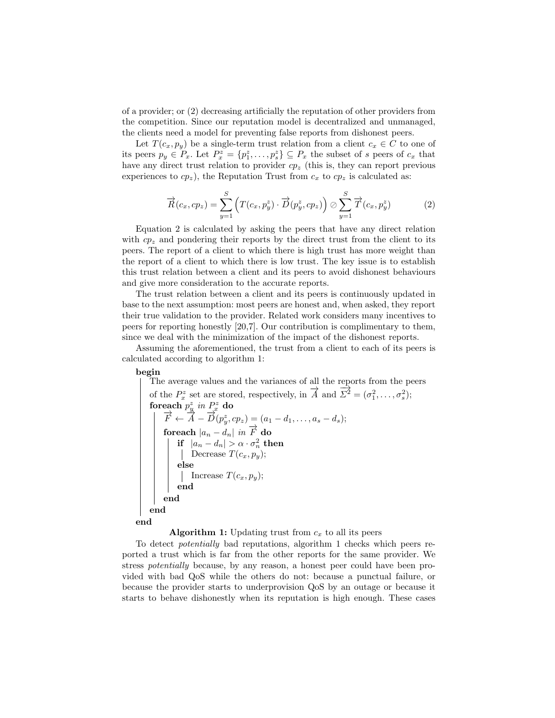of a provider; or (2) decreasing artificially the reputation of other providers from the competition. Since our reputation model is decentralized and unmanaged, the clients need a model for preventing false reports from dishonest peers.

Let  $T(c_x, p_y)$  be a single-term trust relation from a client  $c_x \in C$  to one of its peers  $p_y \in P_x$ . Let  $P_x^z = \{p_1^z, \ldots, p_s^z\} \subseteq P_x$  the subset of s peers of  $c_x$  that have any direct trust relation to provider  $cp<sub>z</sub>$  (this is, they can report previous experiences to  $cp_z$ ), the Reputation Trust from  $c_x$  to  $cp_z$  is calculated as:

$$
\overrightarrow{R}(c_x, cp_z) = \sum_{y=1}^{S} \left( T(c_x, p_y^z) \cdot \overrightarrow{D}(p_y^z, cp_z) \right) \odot \sum_{y=1}^{S} \overrightarrow{T}(c_x, p_y^z)
$$
(2)

Equation 2 is calculated by asking the peers that have any direct relation with  $cp<sub>z</sub>$  and pondering their reports by the direct trust from the client to its peers. The report of a client to which there is high trust has more weight than the report of a client to which there is low trust. The key issue is to establish this trust relation between a client and its peers to avoid dishonest behaviours and give more consideration to the accurate reports.

The trust relation between a client and its peers is continuously updated in base to the next assumption: most peers are honest and, when asked, they report their true validation to the provider. Related work considers many incentives to peers for reporting honestly [20,7]. Our contribution is complimentary to them, since we deal with the minimization of the impact of the dishonest reports.

Assuming the aforementioned, the trust from a client to each of its peers is calculated according to algorithm 1:

begin

The average values and the variances of all the reports from the peers of the  $P_z^z$  set are stored, respectively, in  $\overrightarrow{A}$  and  $\overrightarrow{\Sigma^2} = (\sigma_1^2, \ldots, \sigma_s^2);$ <br>foreach  $n^z$  in  $P^z$  do  $\textbf{for each} \; p_{\tilde{y}}^{z} \; \textit{in} \; P_{x}^{z} \; \textbf{do} \ \bigg| \; \; \overrightarrow{F} \leftarrow \overrightarrow{A} - \overrightarrow{D}(p_{y}^{z}, cp_{z}) = (a_{1} - d_{1}, \ldots, a_{s} - d_{s});$  $\int_a^b \frac{d^2y}{dx^2} dx = d^2y + 2d^2y$ if  $|a_n - d_n| > \alpha \cdot \sigma_n^2$  then Decrease  $T(c_x, p_y);$ else Increase  $T(c_x, p_y);$ end end end end

Algorithm 1: Updating trust from  $c_x$  to all its peers

To detect potentially bad reputations, algorithm 1 checks which peers reported a trust which is far from the other reports for the same provider. We stress potentially because, by any reason, a honest peer could have been provided with bad QoS while the others do not: because a punctual failure, or because the provider starts to underprovision QoS by an outage or because it starts to behave dishonestly when its reputation is high enough. These cases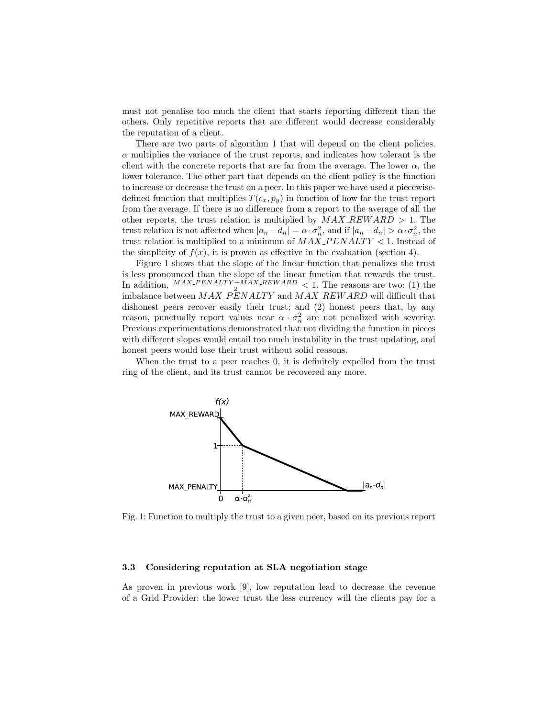must not penalise too much the client that starts reporting different than the others. Only repetitive reports that are different would decrease considerably the reputation of a client.

There are two parts of algorithm 1 that will depend on the client policies.  $\alpha$  multiplies the variance of the trust reports, and indicates how tolerant is the client with the concrete reports that are far from the average. The lower  $\alpha$ , the lower tolerance. The other part that depends on the client policy is the function to increase or decrease the trust on a peer. In this paper we have used a piecewisedefined function that multiplies  $T(c_x, p_y)$  in function of how far the trust report from the average. If there is no difference from a report to the average of all the other reports, the trust relation is multiplied by  $MAX$ <sub>-REW</sub>  $ARD > 1$ . The trust relation is not affected when  $|a_n - d_n| = \alpha \cdot \sigma_n^2$ , and if  $|a_n - d_n| > \alpha \cdot \sigma_n^2$ , the trust relation is multiplied to a minimum of  $MAX\_PENALTY < 1$ . Instead of the simplicity of  $f(x)$ , it is proven as effective in the evaluation (section 4).

Figure 1 shows that the slope of the linear function that penalizes the trust is less pronounced than the slope of the linear function that rewards the trust. In addition,  $\frac{MAX.PENALTY+MAX.REWARD}{2} < 1$ . The reasons are two: (1) the imbalance between  $MAX\_{PENALTY}$  and  $MAX\_{REWARD}$  will difficult that dishonest peers recover easily their trust; and (2) honest peers that, by any reason, punctually report values near  $\alpha \cdot \sigma_n^2$  are not penalized with severity. Previous experimentations demonstrated that not dividing the function in pieces with different slopes would entail too much instability in the trust updating, and honest peers would lose their trust without solid reasons.

When the trust to a peer reaches 0, it is definitely expelled from the trust ring of the client, and its trust cannot be recovered any more.



Fig. 1: Function to multiply the trust to a given peer, based on its previous report

### 3.3 Considering reputation at SLA negotiation stage

As proven in previous work [9], low reputation lead to decrease the revenue of a Grid Provider: the lower trust the less currency will the clients pay for a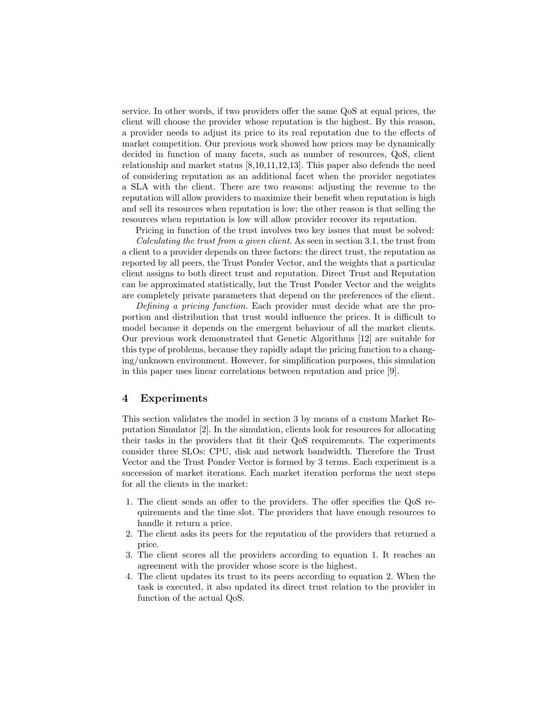service. In other words, if two providers offer the same QoS at equal prices, the client will choose the provider whose reputation is the highest. By this reason, a provider needs to adjust its price to its real reputation due to the effects of market competition. Our previous work showed how prices may be dynamically decided in function of many facets, such as number of resources, QoS, client relationship and market status [8,10,11,12,13]. This paper also defends the need of considering reputation as an additional facet when the provider negotiates a SLA with the client. There are two reasons: adjusting the revenue to the reputation will allow providers to maximize their benefit when reputation is high and sell its resources when reputation is low; the other reason is that selling the resources when reputation is low will allow provider recover its reputation.

Pricing in function of the trust involves two key issues that must be solved:

Calculating the trust from a given client. As seen in section 3.1, the trust from a client to a provider depends on three factors: the direct trust, the reputation as reported by all peers, the Trust Ponder Vector, and the weights that a particular client assigns to both direct trust and reputation. Direct Trust and Reputation can be approximated statistically, but the Trust Ponder Vector and the weights are completely private parameters that depend on the preferences of the client.

Defining a pricing function. Each provider must decide what are the proportion and distribution that trust would influence the prices. It is difficult to model because it depends on the emergent behaviour of all the market clients. Our previous work demonstrated that Genetic Algorithms [12] are suitable for this type of problems, because they rapidly adapt the pricing function to a changing/unknown environment. However, for simplification purposes, this simulation in this paper uses linear correlations between reputation and price [9].

## 4 Experiments

This section validates the model in section 3 by means of a custom Market Reputation Simulator [2]. In the simulation, clients look for resources for allocating their tasks in the providers that fit their QoS requirements. The experiments consider three SLOs: CPU, disk and network bandwidth. Therefore the Trust Vector and the Trust Ponder Vector is formed by 3 terms. Each experiment is a succession of market iterations. Each market iteration performs the next steps for all the clients in the market:

- 1. The client sends an offer to the providers. The offer specifies the QoS requirements and the time slot. The providers that have enough resources to handle it return a price.
- 2. The client asks its peers for the reputation of the providers that returned a price.
- 3. The client scores all the providers according to equation 1. It reaches an agreement with the provider whose score is the highest.
- 4. The client updates its trust to its peers according to equation 2. When the task is executed, it also updated its direct trust relation to the provider in function of the actual QoS.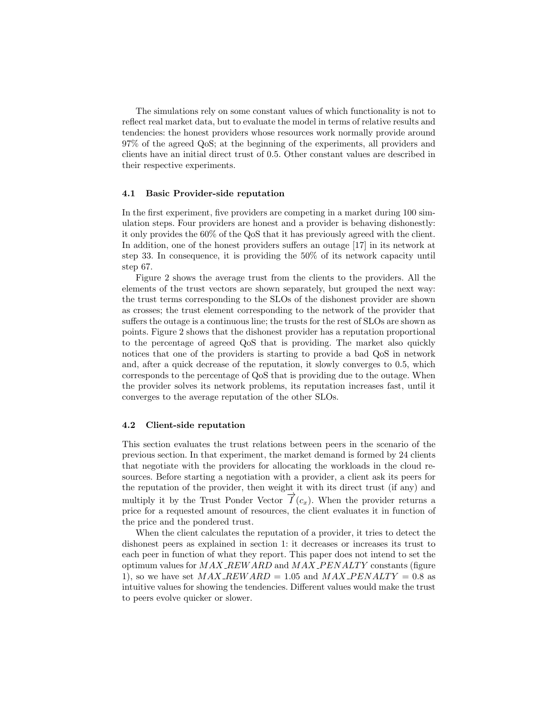The simulations rely on some constant values of which functionality is not to reflect real market data, but to evaluate the model in terms of relative results and tendencies: the honest providers whose resources work normally provide around 97% of the agreed QoS; at the beginning of the experiments, all providers and clients have an initial direct trust of 0.5. Other constant values are described in their respective experiments.

#### 4.1 Basic Provider-side reputation

In the first experiment, five providers are competing in a market during 100 simulation steps. Four providers are honest and a provider is behaving dishonestly: it only provides the 60% of the QoS that it has previously agreed with the client. In addition, one of the honest providers suffers an outage [17] in its network at step 33. In consequence, it is providing the 50% of its network capacity until step 67.

Figure 2 shows the average trust from the clients to the providers. All the elements of the trust vectors are shown separately, but grouped the next way: the trust terms corresponding to the SLOs of the dishonest provider are shown as crosses; the trust element corresponding to the network of the provider that suffers the outage is a continuous line; the trusts for the rest of SLOs are shown as points. Figure 2 shows that the dishonest provider has a reputation proportional to the percentage of agreed QoS that is providing. The market also quickly notices that one of the providers is starting to provide a bad QoS in network and, after a quick decrease of the reputation, it slowly converges to 0.5, which corresponds to the percentage of QoS that is providing due to the outage. When the provider solves its network problems, its reputation increases fast, until it converges to the average reputation of the other SLOs.

#### 4.2 Client-side reputation

This section evaluates the trust relations between peers in the scenario of the previous section. In that experiment, the market demand is formed by 24 clients that negotiate with the providers for allocating the workloads in the cloud resources. Before starting a negotiation with a provider, a client ask its peers for the reputation of the provider, then weight it with its direct trust (if any) and multiply it by the Trust Ponder Vector  $\overrightarrow{I}(c_x)$ . When the provider returns a price for a requested amount of resources, the client evaluates it in function of the price and the pondered trust.

When the client calculates the reputation of a provider, it tries to detect the dishonest peers as explained in section 1: it decreases or increases its trust to each peer in function of what they report. This paper does not intend to set the optimum values for  $MAX$ <sub>-REW</sub> ARD and MAX<sub>-PEN</sub> ALTY constants (figure 1), so we have set  $MAX$ -REW ARD = 1.05 and  $MAX$ -PENALTY = 0.8 as intuitive values for showing the tendencies. Different values would make the trust to peers evolve quicker or slower.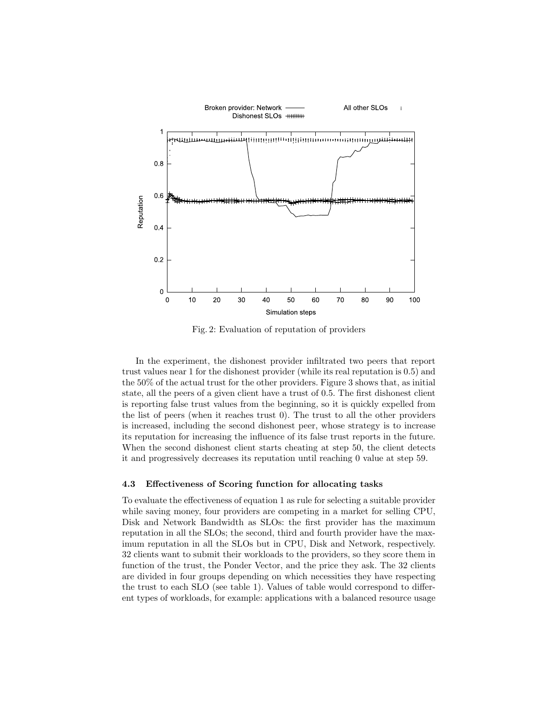

Fig. 2: Evaluation of reputation of providers

In the experiment, the dishonest provider infiltrated two peers that report trust values near 1 for the dishonest provider (while its real reputation is 0.5) and the 50% of the actual trust for the other providers. Figure 3 shows that, as initial state, all the peers of a given client have a trust of 0.5. The first dishonest client is reporting false trust values from the beginning, so it is quickly expelled from the list of peers (when it reaches trust 0). The trust to all the other providers is increased, including the second dishonest peer, whose strategy is to increase its reputation for increasing the influence of its false trust reports in the future. When the second dishonest client starts cheating at step 50, the client detects it and progressively decreases its reputation until reaching 0 value at step 59.

### 4.3 Effectiveness of Scoring function for allocating tasks

To evaluate the effectiveness of equation 1 as rule for selecting a suitable provider while saving money, four providers are competing in a market for selling CPU. Disk and Network Bandwidth as SLOs: the first provider has the maximum reputation in all the SLOs; the second, third and fourth provider have the maximum reputation in all the SLOs but in CPU, Disk and Network, respectively. 32 clients want to submit their workloads to the providers, so they score them in function of the trust, the Ponder Vector, and the price they ask. The 32 clients are divided in four groups depending on which necessities they have respecting the trust to each SLO (see table 1). Values of table would correspond to different types of workloads, for example: applications with a balanced resource usage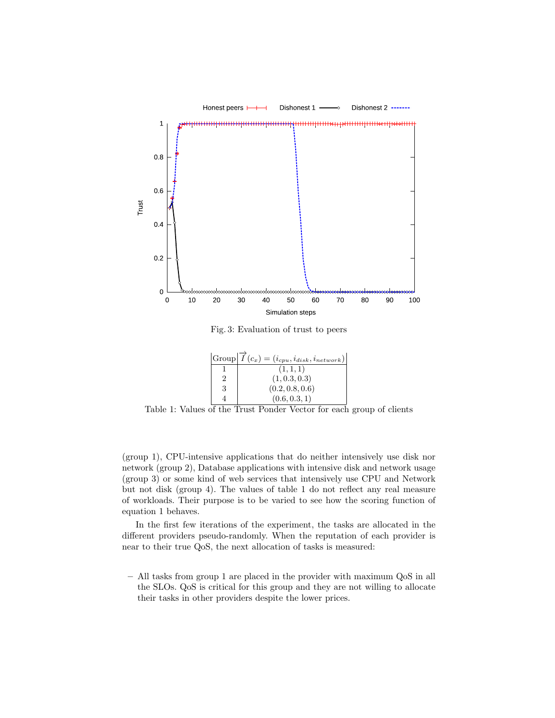

Fig. 3: Evaluation of trust to peers

|  | $ Group T(c_x)=(i_{cpu}, i_{disk}, i_{network})$ |
|--|--------------------------------------------------|
|  | (1, 1, 1)                                        |
|  | (1, 0.3, 0.3)                                    |
|  | (0.2, 0.8, 0.6)                                  |
|  | (0.6, 0.3, 1)                                    |

Table 1: Values of the Trust Ponder Vector for each group of clients

(group 1), CPU-intensive applications that do neither intensively use disk nor network (group 2), Database applications with intensive disk and network usage (group 3) or some kind of web services that intensively use CPU and Network but not disk (group 4). The values of table 1 do not reflect any real measure of workloads. Their purpose is to be varied to see how the scoring function of equation 1 behaves.

In the first few iterations of the experiment, the tasks are allocated in the different providers pseudo-randomly. When the reputation of each provider is near to their true QoS, the next allocation of tasks is measured:

– All tasks from group 1 are placed in the provider with maximum QoS in all the SLOs. QoS is critical for this group and they are not willing to allocate their tasks in other providers despite the lower prices.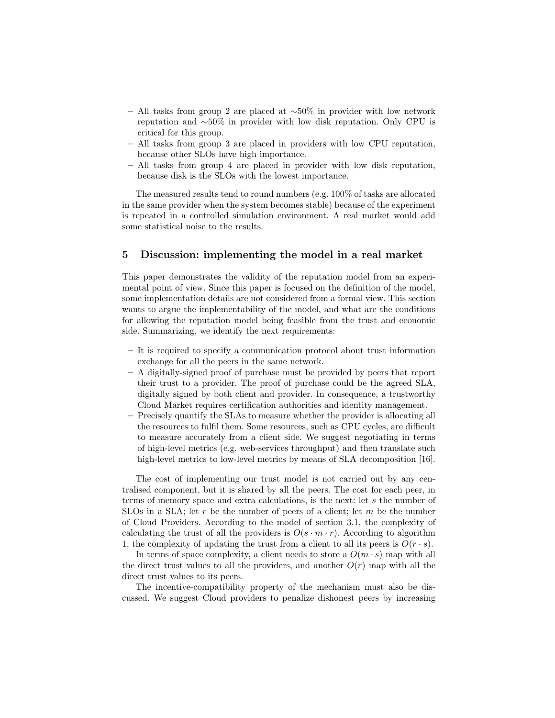- All tasks from group 2 are placed at ∼50% in provider with low network reputation and ∼50% in provider with low disk reputation. Only CPU is critical for this group.
- All tasks from group 3 are placed in providers with low CPU reputation, because other SLOs have high importance.
- All tasks from group 4 are placed in provider with low disk reputation, because disk is the SLOs with the lowest importance.

The measured results tend to round numbers (e.g. 100% of tasks are allocated in the same provider when the system becomes stable) because of the experiment is repeated in a controlled simulation environment. A real market would add some statistical noise to the results.

### 5 Discussion: implementing the model in a real market

This paper demonstrates the validity of the reputation model from an experimental point of view. Since this paper is focused on the definition of the model, some implementation details are not considered from a formal view. This section wants to argue the implementability of the model, and what are the conditions for allowing the reputation model being feasible from the trust and economic side. Summarizing, we identify the next requirements:

- It is required to specify a communication protocol about trust information exchange for all the peers in the same network.
- A digitally-signed proof of purchase must be provided by peers that report their trust to a provider. The proof of purchase could be the agreed SLA, digitally signed by both client and provider. In consequence, a trustworthy Cloud Market requires certification authorities and identity management.
- Precisely quantify the SLAs to measure whether the provider is allocating all the resources to fulfil them. Some resources, such as CPU cycles, are difficult to measure accurately from a client side. We suggest negotiating in terms of high-level metrics (e.g. web-services throughput) and then translate such high-level metrics to low-level metrics by means of SLA decomposition [16].

The cost of implementing our trust model is not carried out by any centralised component, but it is shared by all the peers. The cost for each peer, in terms of memory space and extra calculations, is the next: let s the number of SLOs in a SLA; let r be the number of peers of a client; let  $m$  be the number of Cloud Providers. According to the model of section 3.1, the complexity of calculating the trust of all the providers is  $O(s \cdot m \cdot r)$ . According to algorithm 1, the complexity of updating the trust from a client to all its peers is  $O(r \cdot s)$ .

In terms of space complexity, a client needs to store a  $O(m \cdot s)$  map with all the direct trust values to all the providers, and another  $O(r)$  map with all the direct trust values to its peers.

The incentive-compatibility property of the mechanism must also be discussed. We suggest Cloud providers to penalize dishonest peers by increasing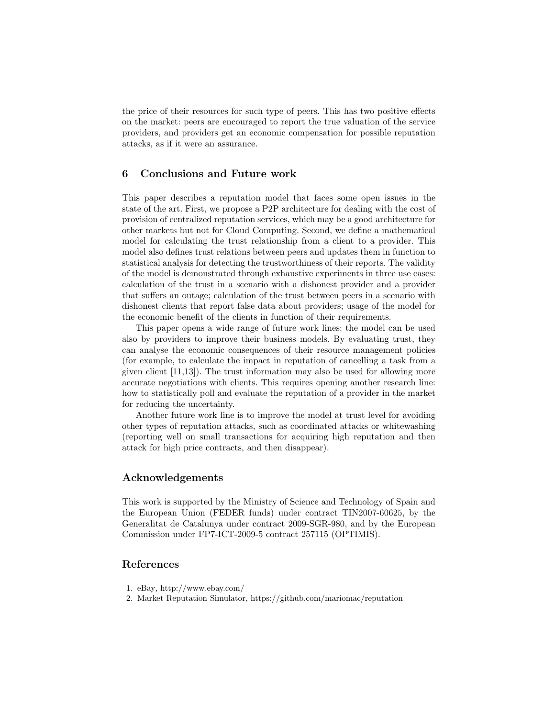the price of their resources for such type of peers. This has two positive effects on the market: peers are encouraged to report the true valuation of the service providers, and providers get an economic compensation for possible reputation attacks, as if it were an assurance.

# 6 Conclusions and Future work

This paper describes a reputation model that faces some open issues in the state of the art. First, we propose a P2P architecture for dealing with the cost of provision of centralized reputation services, which may be a good architecture for other markets but not for Cloud Computing. Second, we define a mathematical model for calculating the trust relationship from a client to a provider. This model also defines trust relations between peers and updates them in function to statistical analysis for detecting the trustworthiness of their reports. The validity of the model is demonstrated through exhaustive experiments in three use cases: calculation of the trust in a scenario with a dishonest provider and a provider that suffers an outage; calculation of the trust between peers in a scenario with dishonest clients that report false data about providers; usage of the model for the economic benefit of the clients in function of their requirements.

This paper opens a wide range of future work lines: the model can be used also by providers to improve their business models. By evaluating trust, they can analyse the economic consequences of their resource management policies (for example, to calculate the impact in reputation of cancelling a task from a given client [11,13]). The trust information may also be used for allowing more accurate negotiations with clients. This requires opening another research line: how to statistically poll and evaluate the reputation of a provider in the market for reducing the uncertainty.

Another future work line is to improve the model at trust level for avoiding other types of reputation attacks, such as coordinated attacks or whitewashing (reporting well on small transactions for acquiring high reputation and then attack for high price contracts, and then disappear).

# Acknowledgements

This work is supported by the Ministry of Science and Technology of Spain and the European Union (FEDER funds) under contract TIN2007-60625, by the Generalitat de Catalunya under contract 2009-SGR-980, and by the European Commission under FP7-ICT-2009-5 contract 257115 (OPTIMIS).

## References

- 1. eBay, http://www.ebay.com/
- 2. Market Reputation Simulator, https://github.com/mariomac/reputation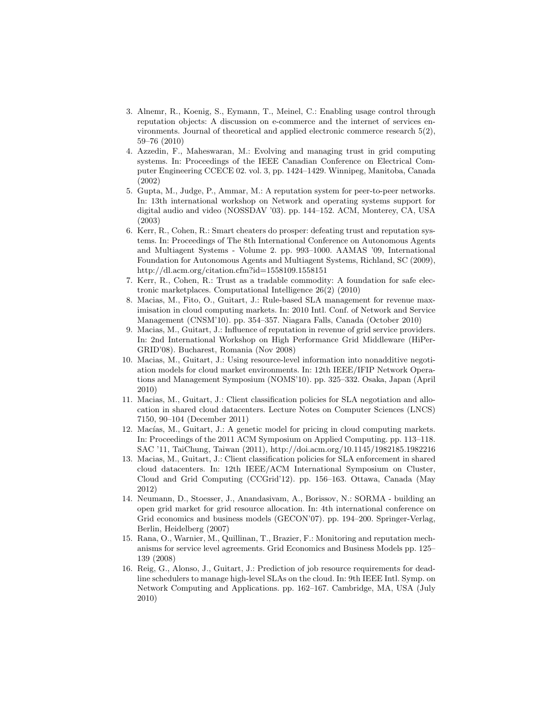- 3. Alnemr, R., Koenig, S., Eymann, T., Meinel, C.: Enabling usage control through reputation objects: A discussion on e-commerce and the internet of services environments. Journal of theoretical and applied electronic commerce research 5(2), 59–76 (2010)
- 4. Azzedin, F., Maheswaran, M.: Evolving and managing trust in grid computing systems. In: Proceedings of the IEEE Canadian Conference on Electrical Computer Engineering CCECE 02. vol. 3, pp. 1424–1429. Winnipeg, Manitoba, Canada (2002)
- 5. Gupta, M., Judge, P., Ammar, M.: A reputation system for peer-to-peer networks. In: 13th international workshop on Network and operating systems support for digital audio and video (NOSSDAV '03). pp. 144–152. ACM, Monterey, CA, USA (2003)
- 6. Kerr, R., Cohen, R.: Smart cheaters do prosper: defeating trust and reputation systems. In: Proceedings of The 8th International Conference on Autonomous Agents and Multiagent Systems - Volume 2. pp. 993–1000. AAMAS '09, International Foundation for Autonomous Agents and Multiagent Systems, Richland, SC (2009), http://dl.acm.org/citation.cfm?id=1558109.1558151
- 7. Kerr, R., Cohen, R.: Trust as a tradable commodity: A foundation for safe electronic marketplaces. Computational Intelligence 26(2) (2010)
- 8. Macias, M., Fito, O., Guitart, J.: Rule-based SLA management for revenue maximisation in cloud computing markets. In: 2010 Intl. Conf. of Network and Service Management (CNSM'10). pp. 354–357. Niagara Falls, Canada (October 2010)
- 9. Macias, M., Guitart, J.: Influence of reputation in revenue of grid service providers. In: 2nd International Workshop on High Performance Grid Middleware (HiPer-GRID'08). Bucharest, Romania (Nov 2008)
- 10. Macias, M., Guitart, J.: Using resource-level information into nonadditive negotiation models for cloud market environments. In: 12th IEEE/IFIP Network Operations and Management Symposium (NOMS'10). pp. 325–332. Osaka, Japan (April 2010)
- 11. Macias, M., Guitart, J.: Client classification policies for SLA negotiation and allocation in shared cloud datacenters. Lecture Notes on Computer Sciences (LNCS) 7150, 90–104 (December 2011)
- 12. Macías, M., Guitart, J.: A genetic model for pricing in cloud computing markets. In: Proceedings of the 2011 ACM Symposium on Applied Computing. pp. 113–118. SAC '11, TaiChung, Taiwan (2011), http://doi.acm.org/10.1145/1982185.1982216
- 13. Macias, M., Guitart, J.: Client classification policies for SLA enforcement in shared cloud datacenters. In: 12th IEEE/ACM International Symposium on Cluster, Cloud and Grid Computing (CCGrid'12). pp. 156–163. Ottawa, Canada (May 2012)
- 14. Neumann, D., Stoesser, J., Anandasivam, A., Borissov, N.: SORMA building an open grid market for grid resource allocation. In: 4th international conference on Grid economics and business models (GECON'07). pp. 194–200. Springer-Verlag, Berlin, Heidelberg (2007)
- 15. Rana, O., Warnier, M., Quillinan, T., Brazier, F.: Monitoring and reputation mechanisms for service level agreements. Grid Economics and Business Models pp. 125– 139 (2008)
- 16. Reig, G., Alonso, J., Guitart, J.: Prediction of job resource requirements for deadline schedulers to manage high-level SLAs on the cloud. In: 9th IEEE Intl. Symp. on Network Computing and Applications. pp. 162–167. Cambridge, MA, USA (July 2010)